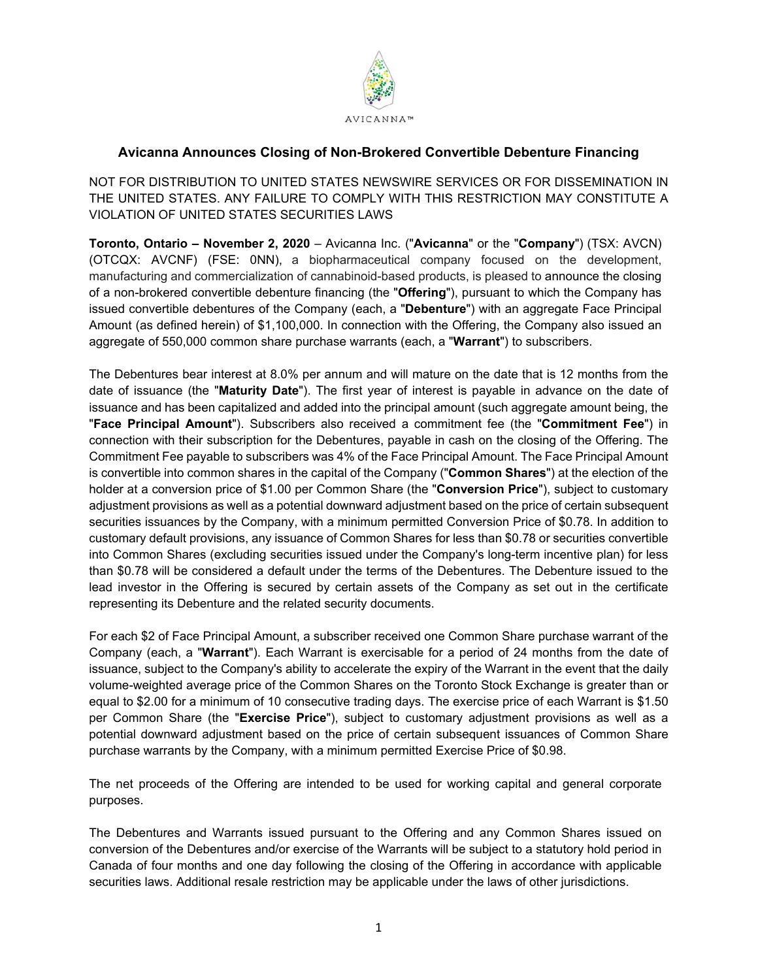

## **Avicanna Announces Closing of Non-Brokered Convertible Debenture Financing**

NOT FOR DISTRIBUTION TO UNITED STATES NEWSWIRE SERVICES OR FOR DISSEMINATION IN THE UNITED STATES. ANY FAILURE TO COMPLY WITH THIS RESTRICTION MAY CONSTITUTE A VIOLATION OF UNITED STATES SECURITIES LAWS

**Toronto, Ontario – November 2, 2020** – Avicanna Inc. ("**Avicanna**" or the "**Company**") (TSX: AVCN) (OTCQX: AVCNF) (FSE: 0NN), a biopharmaceutical company focused on the development, manufacturing and commercialization of cannabinoid-based products, is pleased to announce the closing of a non-brokered convertible debenture financing (the "**Offering**"), pursuant to which the Company has issued convertible debentures of the Company (each, a "**Debenture**") with an aggregate Face Principal Amount (as defined herein) of \$1,100,000. In connection with the Offering, the Company also issued an aggregate of 550,000 common share purchase warrants (each, a "**Warrant**") to subscribers.

The Debentures bear interest at 8.0% per annum and will mature on the date that is 12 months from the date of issuance (the "**Maturity Date**"). The first year of interest is payable in advance on the date of issuance and has been capitalized and added into the principal amount (such aggregate amount being, the "**Face Principal Amount**"). Subscribers also received a commitment fee (the "**Commitment Fee**") in connection with their subscription for the Debentures, payable in cash on the closing of the Offering. The Commitment Fee payable to subscribers was 4% of the Face Principal Amount. The Face Principal Amount is convertible into common shares in the capital of the Company ("**Common Shares**") at the election of the holder at a conversion price of \$1.00 per Common Share (the "**Conversion Price**"), subject to customary adjustment provisions as well as a potential downward adjustment based on the price of certain subsequent securities issuances by the Company, with a minimum permitted Conversion Price of \$0.78. In addition to customary default provisions, any issuance of Common Shares for less than \$0.78 or securities convertible into Common Shares (excluding securities issued under the Company's long-term incentive plan) for less than \$0.78 will be considered a default under the terms of the Debentures. The Debenture issued to the lead investor in the Offering is secured by certain assets of the Company as set out in the certificate representing its Debenture and the related security documents.

For each \$2 of Face Principal Amount, a subscriber received one Common Share purchase warrant of the Company (each, a "**Warrant**"). Each Warrant is exercisable for a period of 24 months from the date of issuance, subject to the Company's ability to accelerate the expiry of the Warrant in the event that the daily volume-weighted average price of the Common Shares on the Toronto Stock Exchange is greater than or equal to \$2.00 for a minimum of 10 consecutive trading days. The exercise price of each Warrant is \$1.50 per Common Share (the "**Exercise Price**"), subject to customary adjustment provisions as well as a potential downward adjustment based on the price of certain subsequent issuances of Common Share purchase warrants by the Company, with a minimum permitted Exercise Price of \$0.98.

The net proceeds of the Offering are intended to be used for working capital and general corporate purposes.

The Debentures and Warrants issued pursuant to the Offering and any Common Shares issued on conversion of the Debentures and/or exercise of the Warrants will be subject to a statutory hold period in Canada of four months and one day following the closing of the Offering in accordance with applicable securities laws. Additional resale restriction may be applicable under the laws of other jurisdictions.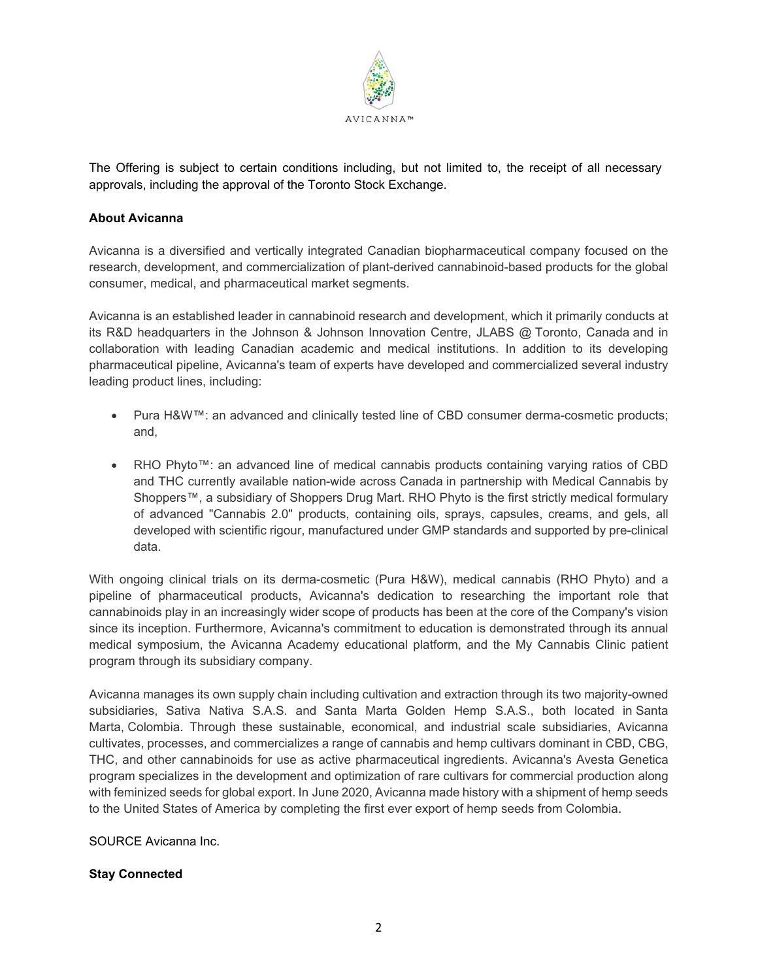

The Offering is subject to certain conditions including, but not limited to, the receipt of all necessary approvals, including the approval of the Toronto Stock Exchange.

## **About Avicanna**

Avicanna is a diversified and vertically integrated Canadian biopharmaceutical company focused on the research, development, and commercialization of plant-derived cannabinoid-based products for the global consumer, medical, and pharmaceutical market segments.

Avicanna is an established leader in cannabinoid research and development, which it primarily conducts at its R&D headquarters in the Johnson & Johnson Innovation Centre, JLABS @ Toronto, Canada and in collaboration with leading Canadian academic and medical institutions. In addition to its developing pharmaceutical pipeline, Avicanna's team of experts have developed and commercialized several industry leading product lines, including:

- Pura H&W™: an advanced and clinically tested line of CBD consumer derma-cosmetic products; and,
- RHO Phyto™: an advanced line of medical cannabis products containing varying ratios of CBD and THC currently available nation-wide across Canada in partnership with Medical Cannabis by Shoppers™, a subsidiary of Shoppers Drug Mart. RHO Phyto is the first strictly medical formulary of advanced "Cannabis 2.0" products, containing oils, sprays, capsules, creams, and gels, all developed with scientific rigour, manufactured under GMP standards and supported by pre-clinical data.

With ongoing clinical trials on its derma-cosmetic (Pura H&W), medical cannabis (RHO Phyto) and a pipeline of pharmaceutical products, Avicanna's dedication to researching the important role that cannabinoids play in an increasingly wider scope of products has been at the core of the Company's vision since its inception. Furthermore, Avicanna's commitment to education is demonstrated through its annual medical symposium, the Avicanna Academy educational platform, and the My Cannabis Clinic patient program through its subsidiary company.

Avicanna manages its own supply chain including cultivation and extraction through its two majority-owned subsidiaries, Sativa Nativa S.A.S. and Santa Marta Golden Hemp S.A.S., both located in Santa Marta, Colombia. Through these sustainable, economical, and industrial scale subsidiaries, Avicanna cultivates, processes, and commercializes a range of cannabis and hemp cultivars dominant in CBD, CBG, THC, and other cannabinoids for use as active pharmaceutical ingredients. Avicanna's Avesta Genetica program specializes in the development and optimization of rare cultivars for commercial production along with feminized seeds for global export. In June 2020, Avicanna made history with a shipment of hemp seeds to the United States of America by completing the first ever export of hemp seeds from Colombia.

SOURCE Avicanna Inc.

## **Stay Connected**